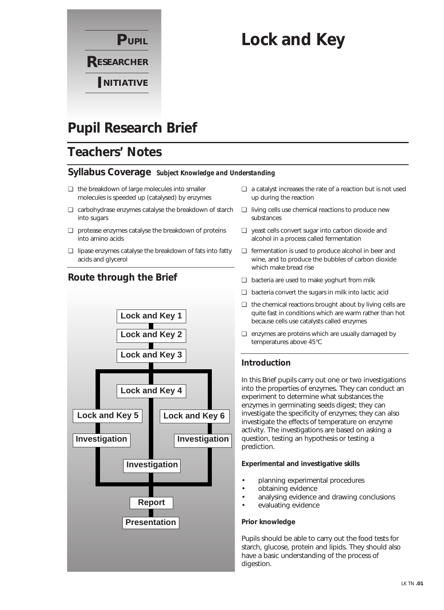

# **Lock and Key**

# **Pupil Research Brief**

# **Teachers' Notes**

### **Syllabus Coverage** *Subject Knowledge and Understanding*

- ❏ the breakdown of large molecules into smaller molecules is speeded up (catalysed) by enzymes
- ❏ carbohydrase enzymes catalyse the breakdown of starch into sugars
- ❏ protease enzymes catalyse the breakdown of proteins into amino acids
- ❏ lipase enzymes catalyse the breakdown of fats into fatty acids and glycerol

**Route through the Brief**



# ❏ a catalyst increases the rate of a reaction but is not used up during the reaction

- ❏ living cells use chemical reactions to produce new substances
- ❏ yeast cells convert sugar into carbon dioxide and alcohol in a process called fermentation
- ❏ fermentation is used to produce alcohol in beer and wine, and to produce the bubbles of carbon dioxide which make bread rise
- ❏ bacteria are used to make yoghurt from milk
- ❏ bacteria convert the sugars in milk into lactic acid
- ❏ the chemical reactions brought about by living cells are quite fast in conditions which are warm rather than hot because cells use catalysts called enzymes
- ❏ enzymes are proteins which are usually damaged by temperatures above 45°C

### **Introduction**

In this Brief pupils carry out one or two investigations into the properties of enzymes. They can conduct an experiment to determine what substances the enzymes in germinating seeds digest; they can investigate the specificity of enzymes; they can also investigate the effects of temperature on enzyme activity. The investigations are based on asking a question, testing an hypothesis or testing a prediction.

### **Experimental and investigative skills**

- planning experimental procedures
- obtaining evidence
- analysing evidence and drawing conclusions
- evaluating evidence

#### **Prior knowledge**

Pupils should be able to carry out the food tests for starch, glucose, protein and lipids. They should also have a basic understanding of the process of digestion.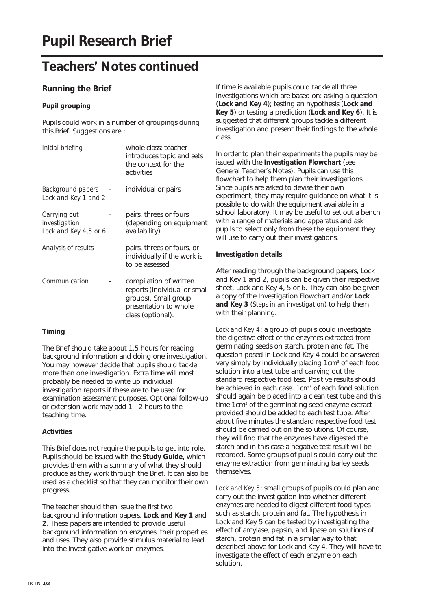# **Teachers' Notes continued**

### **Running the Brief**

### **Pupil grouping**

Pupils could work in a number of groupings during this Brief. Suggestions are:

| Initial briefing                                       | whole class: teacher<br>introduces topic and sets<br>the context for the<br>activities                                       |
|--------------------------------------------------------|------------------------------------------------------------------------------------------------------------------------------|
| Background papers<br>Lock and Key 1 and 2              | individual or pairs                                                                                                          |
| Carrying out<br>investigation<br>Lock and Key 4,5 or 6 | pairs, threes or fours<br>(depending on equipment<br>availability)                                                           |
| Analysis of results                                    | pairs, threes or fours, or<br>individually if the work is<br>to be assessed                                                  |
| Communication                                          | compilation of written<br>reports (individual or small<br>groups). Small group<br>presentation to whole<br>class (optional). |

### **Timing**

The Brief should take about 1.5 hours for reading background information and doing one investigation. You may however decide that pupils should tackle more than one investigation. Extra time will most probably be needed to write up individual investigation reports if these are to be used for examination assessment purposes. Optional follow-up or extension work may add 1 - 2 hours to the teaching time.

### **Activities**

This Brief does not require the pupils to get into role. Pupils should be issued with the **Study Guide**, which provides them with a summary of what they should produce as they work through the Brief. It can also be used as a checklist so that they can monitor their own progress.

The teacher should then issue the first two background information papers, **Lock and Key 1** and **2**. These papers are intended to provide useful background information on enzymes, their properties and uses. They also provide stimulus material to lead into the investigative work on enzymes.

If time is available pupils could tackle all three investigations which are based on: asking a question (**Lock and Key 4**); testing an hypothesis (**Lock and Key 5**) or testing a prediction (**Lock and Key 6**). It is suggested that different groups tackle a different investigation and present their findings to the whole class.

In order to plan their experiments the pupils may be issued with the **Investigation Flowchart** (see General Teacher's Notes). Pupils can use this flowchart to help them plan their investigations. Since pupils are asked to devise their own experiment, they may require guidance on what it is possible to do with the equipment available in a school laboratory. It may be useful to set out a bench with a range of materials and apparatus and ask pupils to select only from these the equipment they will use to carry out their investigations.

### **Investigation details**

After reading through the background papers, Lock and Key 1 and 2, pupils can be given their respective sheet, Lock and Key 4, 5 or 6. They can also be given a copy of the Investigation Flowchart and/or **Lock and Key 3** (*Steps in an investigation*) to help them with their planning.

*Lock and Key 4*: a group of pupils could investigate the digestive effect of the enzymes extracted from germinating seeds on starch, protein and fat. The question posed in Lock and Key 4 could be answered very simply by individually placing 1cm<sup>3</sup> of each food solution into a test tube and carrying out the standard respective food test. Positive results should be achieved in each case. 1cm<sup>3</sup> of each food solution should again be placed into a clean test tube and this time 1cm<sup>3</sup> of the germinating seed enzyme extract provided should be added to each test tube. After about five minutes the standard respective food test should be carried out on the solutions. Of course, they will find that the enzymes have digested the starch and in this case a negative test result will be recorded. Some groups of pupils could carry out the enzyme extraction from germinating barley seeds themselves.

*Lock and Key 5*: small groups of pupils could plan and carry out the investigation into whether different enzymes are needed to digest different food types such as starch, protein and fat. The hypothesis in Lock and Key 5 can be tested by investigating the effect of amylase, pepsin, and lipase on solutions of starch, protein and fat in a similar way to that described above for Lock and Key 4. They will have to investigate the effect of each enzyme on each solution.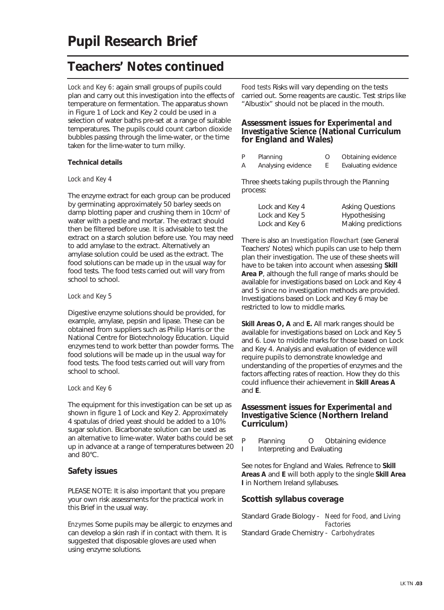# **Teachers' Notes continued**

*Lock and Key 6*: again small groups of pupils could plan and carry out this investigation into the effects of temperature on fermentation. The apparatus shown in Figure 1 of Lock and Key 2 could be used in a selection of water baths pre-set at a range of suitable temperatures. The pupils could count carbon dioxide bubbles passing through the lime-water, or the time taken for the lime-water to turn milky.

#### **Technical details**

#### *Lock and Key 4*

The enzyme extract for each group can be produced by germinating approximately 50 barley seeds on damp blotting paper and crushing them in 10cm<sup>3</sup> of water with a pestle and mortar. The extract should then be filtered before use. It is advisable to test the extract on a starch solution before use. You may need to add amylase to the extract. Alternatively an amylase solution could be used as the extract. The food solutions can be made up in the usual way for food tests. The food tests carried out will vary from school to school.

#### *Lock and Key 5*

Digestive enzyme solutions should be provided, for example, amylase, pepsin and lipase. These can be obtained from suppliers such as Philip Harris or the National Centre for Biotechnology Education. Liquid enzymes tend to work better than powder forms. The food solutions will be made up in the usual way for food tests. The food tests carried out will vary from school to school.

#### *Lock and Key 6*

The equipment for this investigation can be set up as shown in figure 1 of Lock and Key 2. Approximately 4 spatulas of dried yeast should be added to a 10% sugar solution. Bicarbonate solution can be used as an alternative to lime-water. Water baths could be set up in advance at a range of temperatures between 20 and 80°C.

### **Safety issues**

PLEASE NOTE: It is also important that you prepare your own risk assessments for the practical work in this Brief in the usual way.

*Enzymes* Some pupils may be allergic to enzymes and can develop a skin rash if in contact with them. It is suggested that disposable gloves are used when using enzyme solutions.

*Food tests* Risks will vary depending on the tests carried out. Some reagents are caustic. Test strips like "Albustix" should not be placed in the mouth.

### **Assessment issues for** *Experimental and Investigative Science* **(National Curriculum for England and Wales)**

| P | Planning           | Obtaining evidence  |
|---|--------------------|---------------------|
| А | Analysing evidence | Evaluating evidence |

Three sheets taking pupils through the Planning process:

| Lock and Key 4 | <b>Asking Questions</b> |
|----------------|-------------------------|
| Lock and Key 5 | Hypothesising           |
| Lock and Key 6 | Making predictions      |

There is also an *Investigation Flowchart* (see General Teachers' Notes) which pupils can use to help them plan their investigation. The use of these sheets will have to be taken into account when assessing **Skill Area P**, although the full range of marks should be available for investigations based on Lock and Key 4 and 5 since no investigation methods are provided. Investigations based on Lock and Key 6 may be restricted to low to middle marks.

**Skill Areas O, A** and **E.** All mark ranges should be available for investigations based on Lock and Key 5 and 6. Low to middle marks for those based on Lock and Key 4. Analysis and evaluation of evidence will require pupils to demonstrate knowledge and understanding of the properties of enzymes and the factors affecting rates of reaction. How they do this could influence their achievement in **Skill Areas A** and **E**.

### **Assessment issues for** *Experimental and Investigative Science* **(Northern Ireland Curriculum)**

- P Planning O Obtaining evidence
- I Interpreting and Evaluating

See notes for England and Wales. Refrence to **Skill Areas A** and **E** will both apply to the single **Skill Area I** in Northern Ireland syllabuses.

### **Scottish syllabus coverage**

Standard Grade Biology - *Need for Food,* and *Living Factories* Standard Grade Chemistry - *Carbohydrates*